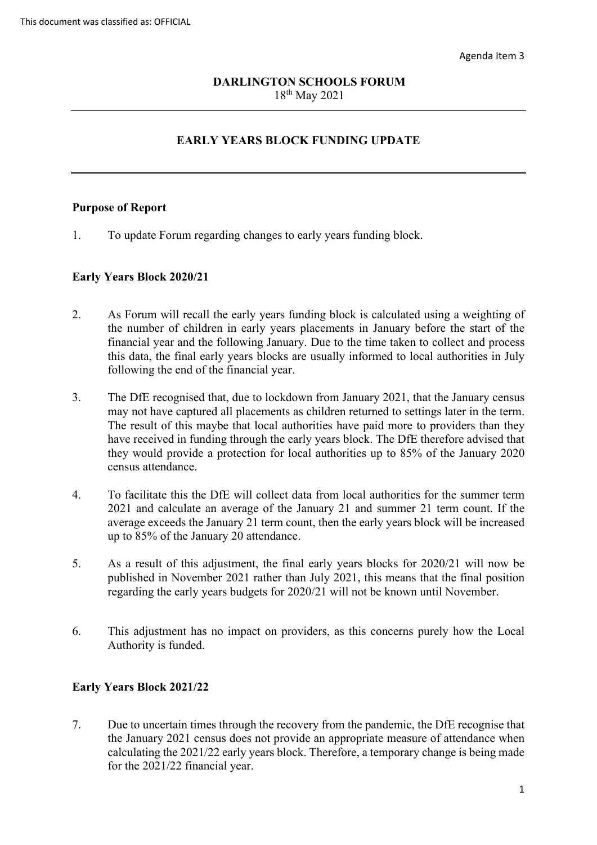# 18th May 2021 **DARLINGTON SCHOOLS FORUM**

# **EARLY YEARS BLOCK FUNDING UPDATE**

### **Purpose of Report**

1. To update Forum regarding changes to early years funding block.

#### **Early Years Block 2020/21**

- 2. As Forum will recall the early years funding block is calculated using a weighting of the number of children in early years placements in January before the start of the financial year and the following January. Due to the time taken to collect and process this data, the final early years blocks are usually informed to local authorities in July following the end of the financial year.
- may not have captured all placements as children returned to settings later in the term. census attendance. 3. The DfE recognised that, due to lockdown from January 2021, that the January census The result of this maybe that local authorities have paid more to providers than they have received in funding through the early years block. The DfE therefore advised that they would provide a protection for local authorities up to 85% of the January 2020
- 2021 and calculate an average of the January 21 and summer 21 term count. If the 4. To facilitate this the DfE will collect data from local authorities for the summer term average exceeds the January 21 term count, then the early years block will be increased up to 85% of the January 20 attendance.
- 5. As a result of this adjustment, the final early years blocks for 2020/21 will now be published in November 2021 rather than July 2021, this means that the final position regarding the early years budgets for 2020/21 will not be known until November.
- 6. This adjustment has no impact on providers, as this concerns purely how the Local Authority is funded.

## **Early Years Block 2021/22**

 7. Due to uncertain times through the recovery from the pandemic, the DfE recognise that for the 2021/22 financial year. the January 2021 census does not provide an appropriate measure of attendance when calculating the 2021/22 early years block. Therefore, a temporary change is being made